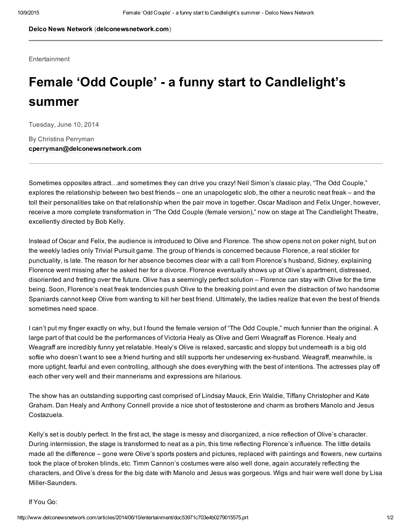Delco News [Network](http://www.delconewsnetwork.com/) ([delconewsnetwork.com\)](http://www.delconewsnetwork.com/)

**Entertainment** 

## Female 'Odd Couple' a funny start to Candlelight's summer

Tuesday, June 10, 2014

By Christina Perryman [cperryman@delconewsnetwork.com](mailto:cperryman@delconewsnetwork.com)

Sometimes opposites attract…and sometimes they can drive you crazy! Neil Simon's classic play, "The Odd Couple," explores the relationship between two best friends – one an unapologetic slob, the other a neurotic neat freak – and the toll their personalities take on that relationship when the pair move in together. Oscar Madison and Felix Unger, however, receive a more complete transformation in "The Odd Couple (female version)," now on stage at The Candlelight Theatre, excellently directed by Bob Kelly.

Instead of Oscar and Felix, the audience is introduced to Olive and Florence. The show opens not on poker night, but on the weekly ladies only Trivial Pursuit game. The group of friends is concerned because Florence, a real stickler for punctuality, is late. The reason for her absence becomes clear with a call from Florence's husband, Sidney, explaining Florence went missing after he asked her for a divorce. Florence eventually shows up at Olive's apartment, distressed, disoriented and fretting over the future. Olive has a seemingly perfect solution – Florence can stay with Olive for the time being. Soon, Florence's neat freak tendencies push Olive to the breaking point and even the distraction of two handsome Spaniards cannot keep Olive from wanting to kill her best friend. Ultimately, the ladies realize that even the best of friends sometimes need space.

I can't put my finger exactly on why, but I found the female version of "The Odd Couple," much funnier than the original. A large part of that could be the performances of Victoria Healy as Olive and Gerri Weagraff as Florence. Healy and Weagraff are incredibly funny yet relatable. Healy's Olive is relaxed, sarcastic and sloppy but underneath is a big old softie who doesn't want to see a friend hurting and still supports her undeserving ex-husband. Weagraff, meanwhile, is more uptight, fearful and even controlling, although she does everything with the best of intentions. The actresses play off each other very well and their mannerisms and expressions are hilarious.

The show has an outstanding supporting cast comprised of Lindsay Mauck, Erin Waldie, Tiffany Christopher and Kate Graham. Dan Healy and Anthony Connell provide a nice shot of testosterone and charm as brothers Manolo and Jesus Costazuela.

Kelly's set is doubly perfect. In the first act, the stage is messy and disorganized, a nice reflection of Olive's character. During intermission, the stage is transformed to neat as a pin, this time reflecting Florence's influence. The little details made all the difference – gone were Olive's sports posters and pictures, replaced with paintings and flowers, new curtains took the place of broken blinds, etc. Timm Cannon's costumes were also well done, again accurately reflecting the characters, and Olive's dress for the big date with Manolo and Jesus was gorgeous. Wigs and hair were well done by Lisa Miller-Saunders.

If You Go: